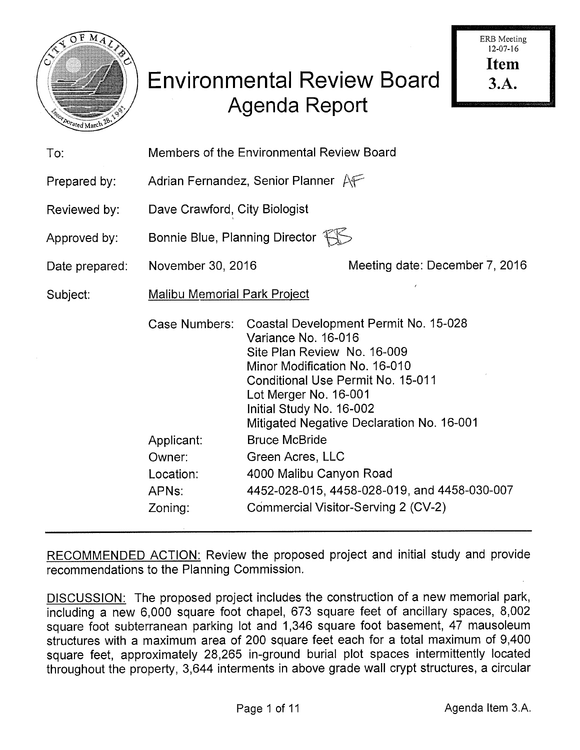

| To:            | Members of the Environmental Review Board                         |                                                                                                                                                                                                                                                                                                                                                                                                                                                 |                                |  |  |  |  |
|----------------|-------------------------------------------------------------------|-------------------------------------------------------------------------------------------------------------------------------------------------------------------------------------------------------------------------------------------------------------------------------------------------------------------------------------------------------------------------------------------------------------------------------------------------|--------------------------------|--|--|--|--|
| Prepared by:   | Adrian Fernandez, Senior Planner $A \rightarrow$                  |                                                                                                                                                                                                                                                                                                                                                                                                                                                 |                                |  |  |  |  |
| Reviewed by:   | Dave Crawford, City Biologist                                     |                                                                                                                                                                                                                                                                                                                                                                                                                                                 |                                |  |  |  |  |
| Approved by:   | Bonnie Blue, Planning Director FIS                                |                                                                                                                                                                                                                                                                                                                                                                                                                                                 |                                |  |  |  |  |
| Date prepared: | November 30, 2016                                                 |                                                                                                                                                                                                                                                                                                                                                                                                                                                 | Meeting date: December 7, 2016 |  |  |  |  |
| Subject:       | <b>Malibu Memorial Park Project</b>                               |                                                                                                                                                                                                                                                                                                                                                                                                                                                 |                                |  |  |  |  |
|                | Applicant:<br>Owner:<br>Location:<br>APN <sub>s:</sub><br>Zoning: | Case Numbers: Coastal Development Permit No. 15-028<br>Variance No. 16-016<br>Site Plan Review No. 16-009<br>Minor Modification No. 16-010<br>Conditional Use Permit No. 15-011<br>Lot Merger No. 16-001<br>Initial Study No. 16-002<br>Mitigated Negative Declaration No. 16-001<br><b>Bruce McBride</b><br>Green Acres, LLC<br>4000 Malibu Canyon Road<br>4452-028-015, 4458-028-019, and 4458-030-007<br>Commercial Visitor-Serving 2 (CV-2) |                                |  |  |  |  |

RECOMMENDED ACTION: Review the proposed project and initial study and provide recommendations to the Planning Commission.

DISCUSSION: The proposed project includes the construction of a new memorial park, including a new 6,000 square foot chapel, 673 square feet of ancillary spaces, 8,002 square foot subterranean parking lot and 1,346 square foot basement, 47 mausoleum structures with a maximum area of 200 square feet each for a total maximum of 9,400 square feet, approximately 28,265 in-ground burial plot spaces intermittently located throughout the property, 3,644 interments in above grade wall crypt structures, a circular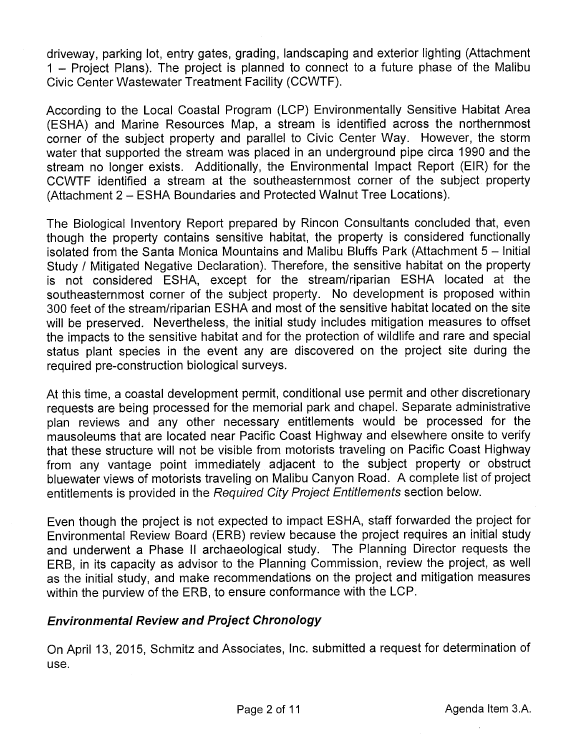driveway, parking lot, entry gates, grading, landscaping and exterior lighting (Attachment I — Project Plans). The project is planned to connect to a future phase of the Malibu Civic Center Wastewater Treatment Facility (CCWTF).

According to the Local Coastal Program (LCP) Environmentally Sensitive Habitat Area (ESHA) and Marine Resources Map, a stream is identified across the northernmost corner of the subject property and parallel to Civic Center Way. However, the storm water that supported the stream was placed in an underground pipe circa 1990 and the stream no longer exists. Additionally, the Environmental Impact Report (EIR) for the CCWTF identified a stream at the southeasternmost corner of the subject property (Attachment 2 — ESHA Boundaries and Protected Walnut Tree Locations).

The Biological Inventory Report prepared by Rincon Consultants concluded that, even though the property contains sensitive habitat, the property is considered functionally isolated from the Santa Monica Mountains and Malibu Bluffs Park (Attachment 5 — Initial Study I Mitigated Negative Declaration). Therefore, the sensitive habitat on the property is not considered ESHA, except for the stream/riparian ESHA located at the southeasternmost corner of the subject property. No development is proposed within 300 feet of the stream/riparian ESHA and most of the sensitive habitat located on the site will be preserved. Nevertheless, the initial study includes mitigation measures to offset the impacts to the sensitive habitat and for the protection of wildlife and rare and special status plant species in the event any are discovered on the project site during the required pre-construction biological surveys.

At this time, a coastal development permit, conditional use permit and other discretionary requests are being processed for the memorial park and chapel. Separate administrative plan reviews and any other necessary entitlements would be processed for the mausoleums that are located near Pacific Coast Highway and elsewhere onsite to verify that these structure will not be visible from motorists traveling on Pacific Coast Highway from any vantage point immediately adjacent to the subject property or obstruct bluewater views of motorists traveling on Malibu Canyon Road. A complete list of project entitlements is provided in the Required City Project Entitlements section below.

Even though the project is not expected to impact ESHA, staff forwarded the project for Environmental Review Board (ERB) review because the project requires an initial study and underwent a Phase II archaeological study. The Planning Director requests the ERB, in its capacity as advisor to the Planning Commission, review the project, as well as the initial study, and make recommendations on the project and mitigation measures within the purview of the ERB, to ensure conformance with the LCP.

### Environmental Review and Project Chronology

On April 13, 2015, Schmitz and Associates, Inc. submitted a request for determination of use.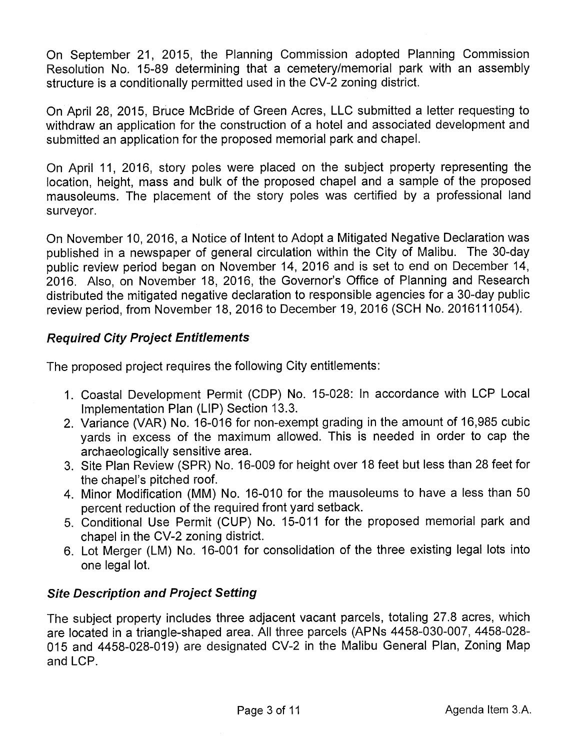On September 21, 2015, the Planning Commission adopted Planning Commission Resolution No. 15-89 determining that a cemetery/memorial park with an assembly structure is a conditionally permitted used in the CV-2 zoning district.

On April 28, 2015, Bruce McBride of Green Acres, LLC submitted a letter requesting to withdraw an application for the construction of a hotel and associated development and submitted an application for the proposed memorial park and chapel.

On April 11, 2016, story poles were placed on the subject property representing the location, height, mass and bulk of the proposed chapel and a sample of the proposed mausoleums. The placement of the story poles was certified by a professional land surveyor.

On November 10, 2016, a Notice of Intent to Adopt a Mitigated Negative Declaration was published in a newspaper of general circulation within the City of Malibu. The 30-day public review period began on November 14, 2016 and is set to end on December 14, 2016. Also, on November 18, 2016, the Governor's Office of Planning and Research distributed the mitigated negative declaration to responsible agencies for a 30-day public review period, from November 18, 2016 to December 19, 2016 (SCH No. 2016111054).

# Required City Project Entitlements

The proposed project requires the following City entitlements:

- 1. Coastal Development Permit (CDP) No. 15-028: In accordance with LCP Local Implementation Plan (LIP) Section 13.3.
- 2. Variance (VAR) No. 16-016 for non-exempt grading in the amount of 16,985 cubic yards in excess of the maximum allowed. This is needed in order to cap the archaeologically sensitive area.
- 3. Site Plan Review (SPR) No. 16-009 for height over 18 feet but less than 28 feet for the chapel's pitched roof.
- 4. Minor Modification (MM) No. 16-010 for the mausoleums to have a less than 50 percent reduction of the required front yard setback.
- 5. Conditional Use Permit (CUP) No. 15-011 for the proposed memorial park and chapel in the CV-2 zoning district.
- 6. Lot Merger (LM) No. 16-001 for consolidation of the three existing legal lots into one legal lot.

# Site Description and Project Setting

The subject property includes three adjacent vacant parcels, totaling 27.8 acres, which are located in a triangle-shaped area. All three parcels (APNs 4458-030-007, 4458-028- 015 and 4458-028-019) are designated CV-2 in the Malibu General Plan, Zoning Map and LCP.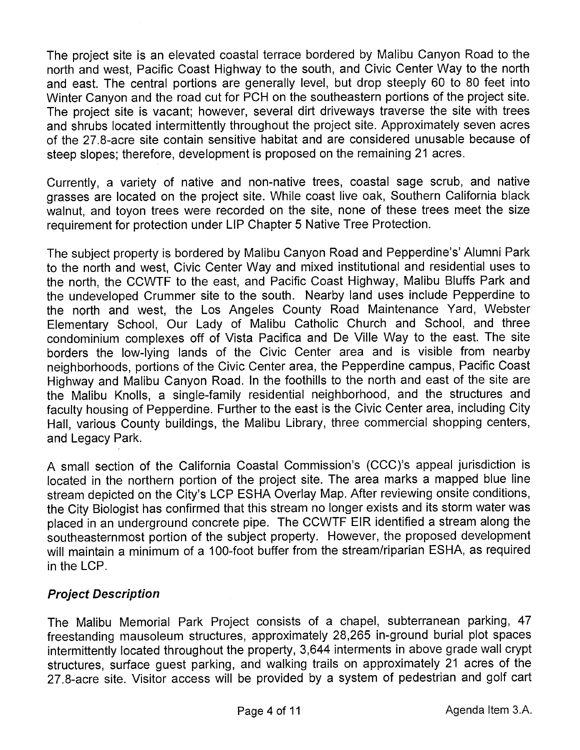The project site is an elevated coastal terrace bordered by Malibu Canyon Road to the north and west, Pacific Coast Highway to the south, and Civic Center Way to the north and east. The central portions are generally level, but drop steeply 60 to 80 feet into Winter Canyon and the road cut for PCH on the southeastern portions of the project site. The project site is vacant; however, several dirt driveways traverse the site with trees and shrubs located intermittently throughout the project site. Approximately seven acres of the 27.8-acre site contain sensitive habitat and are considered unusable because of steep slopes; therefore, development is proposed on the remaining 21 acres.

Currently, a variety of native and non-native trees, coastal sage scrub, and native grasses are located on the project site. While coast live oak, Southern California black walnut, and toyon trees were recorded on the site, none of these trees meet the size requirement for protection under LIP Chapter 5 Native Tree Protection.

The subject property is bordered by Malibu Canyon Road and Pepperdine's' Alumni Park to the north and west, Civic Center Way and mixed institutional and residential uses to the north, the CCWTF to the east, and Pacific Coast Highway, Malibu Bluffs Park and the undeveloped Crummer site to the south. Nearby land uses include Pepperdine to the north and west, the Los Angeles County Road Maintenance Yard, Webster Elementary School, Our Lady of Malibu Catholic Church and School, and three condominium complexes off of Vista Pacifica and De Ville Way to the east. The site borders the low-lying lands of the Civic Center area and is visible from nearby neighborhoods, portions of the Civic Center area, the Pepperdine campus, Pacific Coast Highway and Malibu Canyon Road. In the foothills to the north and east of the site are the Malibu Knolls, a single-family residential neighborhood, and the structures and faculty housing of Pepperdine. Further to the east is the Civic Center area, including City Hall, various County buildings, the Malibu Library, three commercial shopping centers, and Legacy Park.

A small section of the California Coastal Commission's (CCC)'s appeal jurisdiction is located in the northern portion of the project site. The area marks a mapped blue line stream depicted on the City's LCP ESHA Overlay Map. After reviewing onsite conditions, the City Biologist has confirmed that this stream no longer exists and its storm water was placed in an underground concrete pipe. The CCWTF EIR identified a stream along the southeasternmost portion of the subject property. However, the proposed development will maintain a minimum of a 100-foot buffer from the stream/riparian ESHA, as required in the LCP.

### Project Description

The Malibu Memorial Park Project consists of a chapel, subterranean parking, 47 freestanding mausoleum structures, approximately 28,265 in-ground burial plot spaces intermittently located throughout the property, 3,644 interments in above grade wall crypt structures, surface guest parking, and walking trails on approximately 21 acres of the 27.8-acre site. Visitor access will be provided by a system of pedestrian and golf cart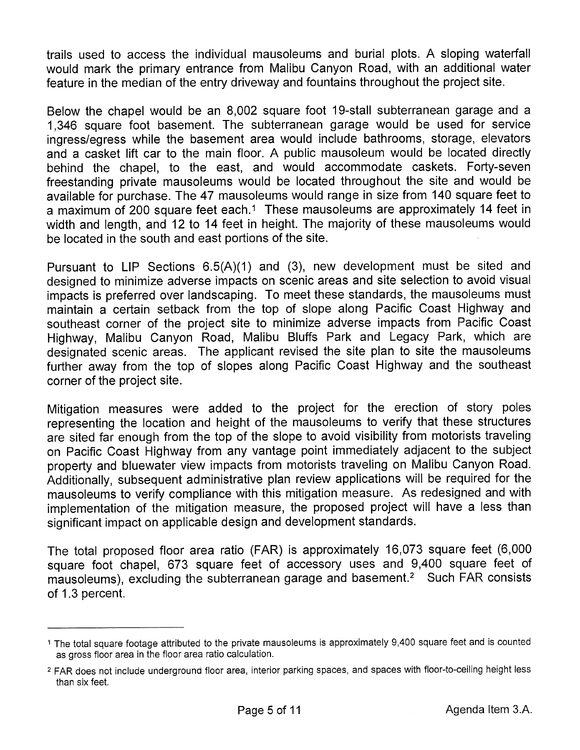trails used to access the individual mausoleums and burial plots. A sloping waterfall would mark the primary entrance from Malibu Canyon Road, with an additional water feature in the median of the entry driveway and fountains throughout the project site.

Below the chapel would be an 8,002 square foot 19-stall subterranean garage and a 1,346 square foot basement. The subterranean garage would be used for service ingress/egress while the basement area would include bathrooms, storage, elevators and a casket lift car to the main floor. A public mausoleum would be located directly behind the chapel, to the east, and would accommodate caskets. Forty-seven freestanding private mausoleums would be located throughout the site and would be available for purchase. The 47 mausoleums would range in size from 140 square feet to a maximum of 200 square feet each.<sup>1</sup> These mausoleums are approximately 14 feet in width and length, and 12 to 14 feet in height. The majority of these mausoleums would be located in the south and east portions of the site.

Pursuant to LIP Sections 6.5(A)(1) and (3), new development must be sited and designed to minimize adverse impacts on scenic areas and site selection to avoid visual impacts is preferred over landscaping. To meet these standards, the mausoleums must maintain a certain setback from the top of slope along Pacific Coast Highway and southeast corner of the project site to minimize adverse impacts from Pacific Coast Highway, Malibu Canyon Road, Malibu Bluffs Park and Legacy Park, which are designated scenic areas. The applicant revised the site plan to site the mausoleums further away from the top of slopes along Pacific Coast Highway and the southeast corner of the project site.

Mitigation measures were added to the project for the erection of story poles representing the location and height of the mausoleums to verify that these structures are sited far enough from the top of the slope to avoid visibility from motorists traveling on Pacific Coast Highway from any vantage point immediately adjacent to the subject property and bluewater view impacts from motorists traveling on Malibu Canyon Road. Additionally, subsequent administrative plan review applications will be required for the mausoleums to verify compliance with this mitigation measure. As redesigned and with implementation of the mitigation measure, the proposed project will have a less than significant impact on applicable design and development standards.

The total proposed floor area ratio (FAR) is approximately 16,073 square feet (6,000 square foot chapel, 673 square feet of accessory uses and 9,400 square feet of mausoleums), excluding the subterranean garage and basement.<sup>2</sup> Such FAR consists of 1.3 percent.

<sup>1</sup> The total square footage attributed to the private mausoleums is approximately 9,400 square feet and is counted as gross floor area in the floor area ratio calculation.

<sup>2</sup> FAR does not include underground floor area, interior parking spaces, and spaces with floor-to-ceiling height less than six feet.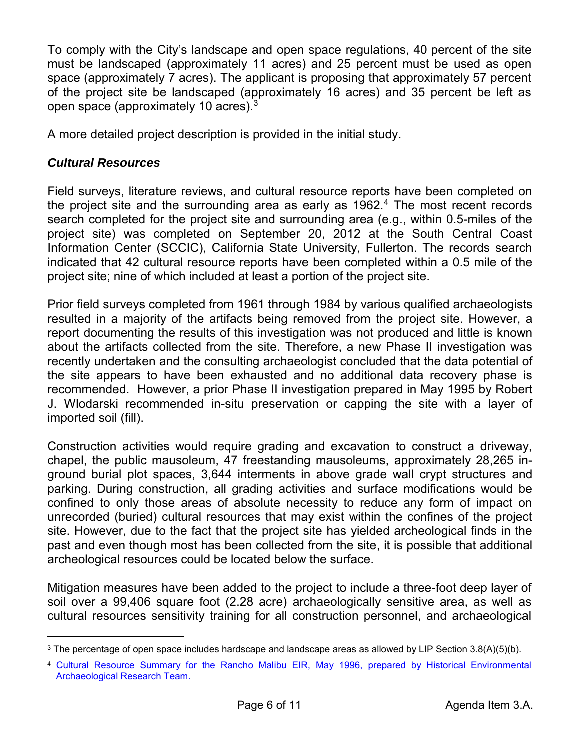To comply with the City's landscape and open space regulations, 40 percent of the site must be landscaped (approximately 11 acres) and 25 percent must be used as open space (approximately 7 acres). The applicant is proposing that approximately 57 percent of the project site be landscaped (approximately 16 acres) and 35 percent be left as open space (approximately 10 acres). $^3$ 

A more detailed project description is provided in the initial study.

#### *Cultural Resources*

l

Field surveys, literature reviews, and cultural resource reports have been completed on the project site and the surrounding area as early as 1962.<sup>4</sup> The most recent records search completed for the project site and surrounding area (e.g., within 0.5-miles of the project site) was completed on September 20, 2012 at the South Central Coast Information Center (SCCIC), California State University, Fullerton. The records search indicated that 42 cultural resource reports have been completed within a 0.5 mile of the project site; nine of which included at least a portion of the project site.

Prior field surveys completed from 1961 through 1984 by various qualified archaeologists resulted in a majority of the artifacts being removed from the project site. However, a report documenting the results of this investigation was not produced and little is known about the artifacts collected from the site. Therefore, a new Phase II investigation was recently undertaken and the consulting archaeologist concluded that the data potential of the site appears to have been exhausted and no additional data recovery phase is recommended. However, a prior Phase II investigation prepared in May 1995 by Robert J. Wlodarski recommended in-situ preservation or capping the site with a layer of imported soil (fill).

Construction activities would require grading and excavation to construct a driveway, chapel, the public mausoleum, 47 freestanding mausoleums, approximately 28,265 inground burial plot spaces, 3,644 interments in above grade wall crypt structures and parking. During construction, all grading activities and surface modifications would be confined to only those areas of absolute necessity to reduce any form of impact on unrecorded (buried) cultural resources that may exist within the confines of the project site. However, due to the fact that the project site has yielded archeological finds in the past and even though most has been collected from the site, it is possible that additional archeological resources could be located below the surface.

Mitigation measures have been added to the project to include a three-foot deep layer of soil over a 99,406 square foot (2.28 acre) archaeologically sensitive area, as well as cultural resources sensitivity training for all construction personnel, and archaeological

 $^3$  The percentage of open space includes hardscape and landscape areas as allowed by LIP Section 3.8(A)(5)(b).

<sup>4</sup> [Cultural Resource Summary for the Rancho Malibu EIR, May 1996, prepared by Historical Environmental](http://www.malibucity.org/DocumentCenter/View/13160) Archaeological Research Team.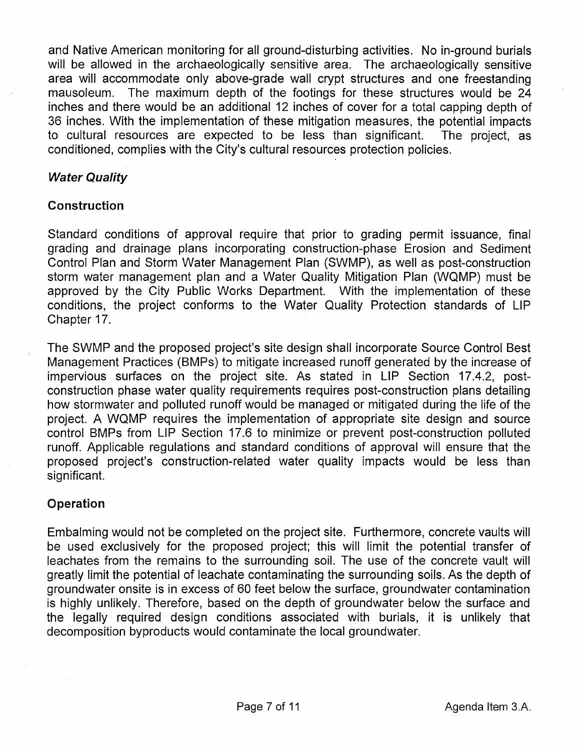and Native American monitoring for all ground-disturbing activities. No in-ground burials will be allowed in the archaeologically sensitive area. The archaeologically sensitive area will accommodate only above-grade wall crypt structures and one freestanding mausoleum. The maximum depth of the footings for these structures would be 24 inches and there would be an additional 12 inches of cover for a total capping depth of 36 inches. With the implementation of these mitigation measures, the potential impacts to cultural resources are expected to be less than significant. The project, as conditioned, complies with the City's cultural resources protection policies.

### Water Quality

#### Construction

Standard conditions of approval require that prior to grading permit issuance, final grading and drainage plans incorporating construction-phase Erosion and Sediment Control Plan and Storm Water Management Plan (SWMP), as well as post-construction storm water management plan and a Water Quality Mitigation Plan (WQMP) must be approved by the City Public Works Department. With the implementation of these conditions, the project conforms to the Water Quality Protection standards of LIP Chapter 17.

The SWMP and the proposed project's site design shall incorporate Source Control Best Management Practices (BMP5) to mitigate increased runoff generated by the increase of impervious surfaces on the project site. As stated in LIP Section 17.4.2, postconstruction phase water quality requirements requires post-construction plans detailing how stormwater and polluted runoff would be managed or mitigated during the life of the project. A WQMP requires the implementation of appropriate site design and source control BMP5 from LIP Section 17.6 to minimize or prevent post-construction polluted runoff. Applicable regulations and standard conditions of approval will ensure that the proposed project's construction-related water quality impacts would be less than significant.

### Operation

Embalming would not be completed on the project site. Furthermore, concrete vaults will be used exclusively for the proposed project; this will limit the potential transfer of leachates from the remains to the surrounding soil. The use of the concrete vault will greatly limit the potential of leachate contaminating the surrounding soils. As the depth of groundwater onsite is in excess of 60 feet below the surface, groundwater contamination is highly unlikely. Therefore, based on the depth of groundwater below the surface and the legally required design conditions associated with burials, it is unlikely that decomposition byproducts would contaminate the local groundwater.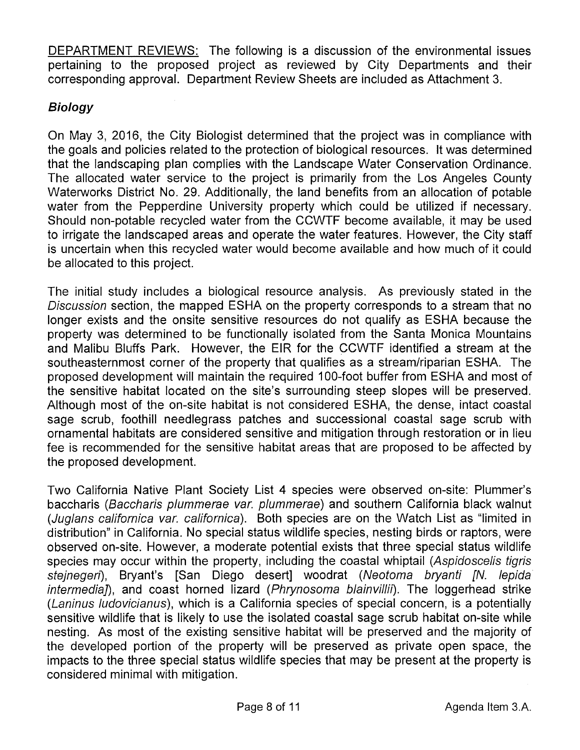DEPARTMENT REVIEWS: The following is a discussion of the environmental issues pertaining to the proposed project as reviewed by City Departments and their corresponding approval. Department Review Sheets are included as Attachment 3.

# Biology

On May 3, 2016, the City Biologist determined that the project was in compliance with the goals and policies related to the protection of biological resources. It was determined that the landscaping plan complies with the Landscape Water Conservation Ordinance. The allocated water service to the project is primarily from the Los Angeles County Waterworks District No. 29. Additionally, the land benefits from an allocation of potable water from the Pepperdine University property which could be utilized if necessary. Should non-potable recycled water from the CCWTF become available, it may be used to irrigate the landscaped areas and operate the water features. However, the City staff is uncertain when this recycled water would become available and how much of it could be allocated to this project.

The initial study includes a biological resource analysis. As previously stated in the Discussion section, the mapped ESHA on the property corresponds to a stream that no longer exists and the onsite sensitive resources do not qualify as ESHA because the property was determined to be functionally isolated from the Santa Monica Mountains and Malibu Bluffs Park. However, the EIR for the CCWTF identified a stream at the southeasternmost corner of the property that qualifies as a stream/riparian ESHA. The proposed development will maintain the required 100-foot buffer from ESHA and most of the sensitive habitat located on the site's surrounding steep slopes will be preserved. Although most of the on-site habitat is not considered ESHA, the dense, intact coastal sage scrub, foothill needlegrass patches and successional coastal sage scrub with ornamental habitats are considered sensitive and mitigation through restoration or in lieu fee is recommended for the sensitive habitat areas that are proposed to be affected by the proposed development.

Two California Native Plant Society List 4 species were observed on-site: Plummer's baccharis (Baccharis plummerae var. plummerae) and southern California black walnut (Juglans californica var. californica). Both species are on the Watch List as "limited in distribution" in California. No special status wildlife species, nesting birds or raptors, were observed on-site. However, a moderate potential exists that three special status wildlife species may occur within the property, including the coastal whiptail (Aspidoscelis tigris stejnegeri), Bryant's [San Diego desert] woodrat (Neotoma bryanti [N. lepida) intermedia]), and coast horned lizard (Phrynosoma blainvillii). The loggerhead strike (Laninus ludovicianus), which is a California species of special concern, is a potentially sensitive wildlife that is likely to use the isolated coastal sage scrub habitat on-site while nesting. As most of the existing sensitive habitat will be preserved and the majority of the developed portion of the property will be preserved as private open space, the impacts to the three special status wildlife species that may be present at the property is considered minimal with mitigation.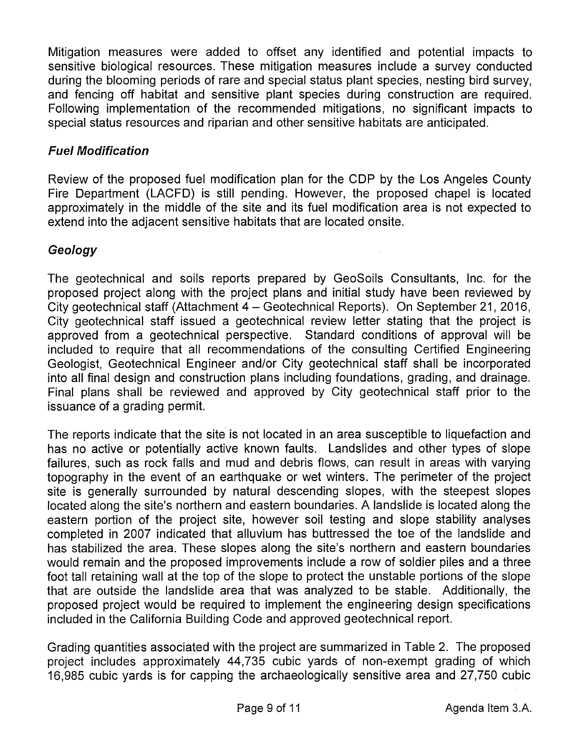Mitigation measures were added to offset any identified and potential impacts to sensitive biological resources. These mitigation measures include a survey conducted during the blooming periods of rare and special status plant species, nesting bird survey, and fencing off habitat and sensitive plant species during construction are required. Following implementation of the recommended mitigations, no significant impacts to special status resources and riparian and other sensitive habitats are anticipated.

# Fuel Modification

Review of the proposed fuel modification plan for the CDP by the Los Angeles County Fire Department (LACED) is still pending. However, the proposed chapel is located approximately in the middle of the site and its fuel modification area is not expected to extend into the adjacent sensitive habitats that are located onsite.

# Geology

The geotechnical and soils reports prepared by GeoSoils Consultants, Inc. for the proposed project along with the project plans and initial study have been reviewed by City geotechnical staff (Attachment 4 — Geotechnical Reports). On September 21, 2016, City geotechnical staff issued a geotechnical review letter stating that the project is approved from a geotechnical perspective. Standard conditions of approval will be included to require that all recommendations of the consulting Certified Engineering Geologist, Geotechnical Engineer and/or City geotechnical staff shall be incorporated into all final design and construction plans including foundations, grading, and drainage. Final plans shall be reviewed and approved by City geotechnical staff prior to the issuance of a grading permit.

The reports indicate that the site is not located in an area susceptible to liquefaction and has no active or potentially active known faults. Landslides and other types of slope failures, such as rock falls and mud and debris flows, can result in areas with varying topography in the event of an earthquake or wet winters. The perimeter of the project site is generally surrounded by natural descending slopes, with the steepest slopes located along the site's northern and eastern boundaries. A landslide is located along the eastern portion of the project site, however soil testing and slope stability analyses completed in 2007 indicated that alluvium has buttressed the toe of the landslide and has stabilized the area. These slopes along the site's northern and eastern boundaries would remain and the proposed improvements include a row of soldier piles and a three foot tall retaining wall at the top of the slope to protect the unstable portions of the slope that are outside the landslide area that was analyzed to be stable. Additionally, the proposed project would be required to implement the engineering design specifications included in the California Building Code and approved geotechnical report.

Grading quantities associated with the project are summarized in Table 2. The proposed project includes approximately 44,735 cubic yards of non-exempt grading of which 16,985 cubic yards is for capping the archaeologically sensitive area and 27,750 cubic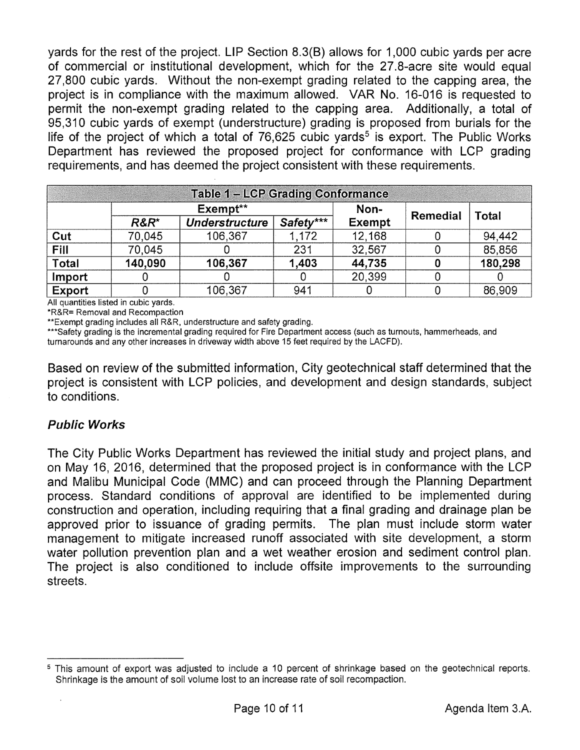ort. The F<br>ce with I<br>equiremen yards for the rest of the project. LIP Section 8.3(B) allows for 1,000 cubic yards per acre of commercial or institutional development, which for the 27.8-acre site would equal 27,800 cubic yards. Without the non-exempt grading related to the capping area, the project is in compliance with the maximum allowed. VAR No. 16-016 is requested to permit the non-exempt grading related to the capping area. Additionally, a total of 95,310 cubic yards of exempt (understructure) grading is proposed from burials for the life of the project of which a total of  $76,625$  cubic yards<sup>5</sup> is export. The Public Works Department has reviewed the proposed project for conformance with LCP grading

| requirements, and has deemed the project consistent with these requirements. |          |                       |           |               |          |              |  |  |  |  |
|------------------------------------------------------------------------------|----------|-----------------------|-----------|---------------|----------|--------------|--|--|--|--|
| <b>Table 1 - LCP Grading Conformance</b>                                     |          |                       |           |               |          |              |  |  |  |  |
|                                                                              | Exempt** |                       |           | Non-          | Remedial | <b>Total</b> |  |  |  |  |
|                                                                              | $R\&R^*$ | <b>Understructure</b> | Safety*** | <b>Exempt</b> |          |              |  |  |  |  |
| Cut                                                                          | 70,045   | 106,367               | 1,172     | 12,168        |          | 94,442       |  |  |  |  |
| Fill                                                                         | 70,045   |                       | 231       | 32,567        |          | 85,856       |  |  |  |  |
| Total                                                                        | 140,090  | 106,367               | 1,403     | 44,735        | O        | 180,298      |  |  |  |  |
| Import                                                                       |          |                       |           | 20,399        |          |              |  |  |  |  |
| <b>Export</b>                                                                |          | 106,367               | 941       |               |          | 86,909       |  |  |  |  |

All quantities listed in cubic yards.

\*R&R= Removal and Recompaction

\*\*Exempt grading includes all R&R, understructure and safety grading.

\*\*\*Safety grading is the incremental grading required for Fire Department access (such as turnouts, hammerheads, and turnarounds and any other increases in driveway width above 15 feet required by the LACFD).

Based on review of the submitted information, City geotechnical staff determined that the project is consistent with LCP policies, and development and design standards, subject to conditions.

#### Public Works

The City Public Works Department has reviewed the initial study and project plans, and on May 16, 2016, determined that the proposed project is in conformance with the LCP and Malibu Municipal Code (MMC) and can proceed through the Planning Department process. Standard conditions of approval are identified to be implemented during construction and operation, including requiring that a final grading and drainage plan be approved prior to issuance of grading permits. The plan must include storm water management to mitigate increased runoff associated with site development, a storm water pollution prevention plan and a wet weather erosion and sediment control plan. The project is also conditioned to include offsite improvements to the surrounding streets.

This amount of export was adjusted to include a 10 percent of shrinkage based on the geotechnical reports. Shrinkage is the amount of soil volume lost to an increase rate of soil recompaction.